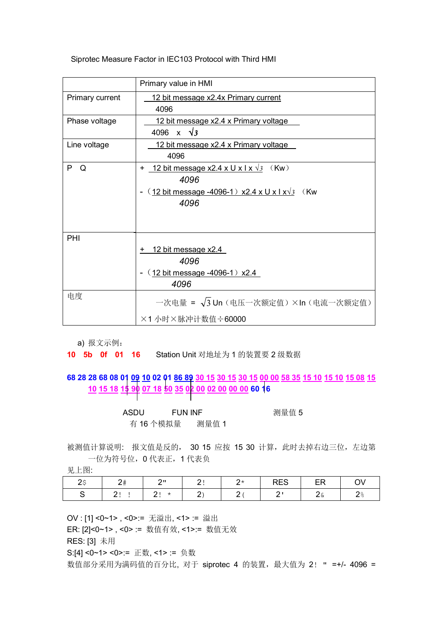## Siprotec Measure Factor in IEC103 Protocol with Third HMI

|                 | Primary value in HMI                                                                                                                  |
|-----------------|---------------------------------------------------------------------------------------------------------------------------------------|
| Primary current | 12 bit message x2.4x Primary current<br>4096                                                                                          |
| Phase voltage   | 12 bit message x2.4 x Primary voltage<br>4096 x $\sqrt{3}$                                                                            |
| Line voltage    | <u>12 bit message x2.4 x Primary voltage.</u><br>4096                                                                                 |
| P<br>Q          | 12 bit message x2.4 x U x I x $\sqrt{3}$ (Kw)<br>$+$<br>4096<br>$(12 \text{ bit message -}4096-1) x2.4 x U x I x\sqrt{3}$ (Kw<br>4096 |
| PHI             | $+$ 12 bit message x2.4<br>4096<br>$(12 \text{ bit message } -4096 - 1) x2.4$<br>4096                                                 |
| 电度              | 一次电量 = $\sqrt{3}$ Un (电压一次额定值) ×In (电流一次额定值)<br>×1 小时×脉冲计数值÷60000                                                                     |

a) 报文示例:

## **10 5b 0f 01 16** Station Unit 对地址为 1 的装置要 2 级数据

## **68 28 28 68 08 01 09 10 02 01 86 89 30 15 30 15 30 15 00 00 58 35 15 10 15 10 15 08 15 10 15 18 15 90 07 18 50 35 02 00 02 00 00 00 60 16**

| ASDU | FUN INF   | 测量值 5 |  |  |  |
|------|-----------|-------|--|--|--|
|      | 有 16 个模拟量 | 测量值 1 |  |  |  |

被测值计算说明: 报文值是反的, 30 15 应按 15 30 计算, 此时去掉右边三位, 左边第 一位为符号位,0 代表正,1 代表负

见上图:

|  |  | $\mathcal{L}$ |  |  |
|--|--|---------------|--|--|

OV : [1] <0~1> , <0>:= 无溢出, <1> := 溢出

ER: [2]<0~1> , <0> := 数值有效, <1>:= 数值无效

RES: [3] 未用

S:[4] <0~1> <0>:= 正数, <1>:= 负数

数值部分采用为满码值的百分比, 对于 siprotec 4 的装置, 最大值为 2! " =+/- 4096 =